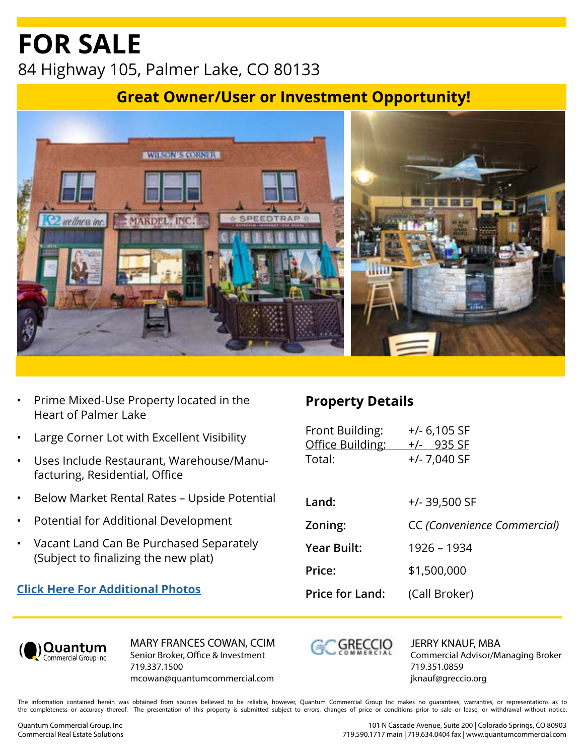# **FOR SALE** 84 Highway 105, Palmer Lake, CO 80133

### **Great Owner/User or Investment Opportunity!**



- Prime Mixed-Use Property located in the Heart of Palmer Lake
- Large Corner Lot with Excellent Visibility
- Uses Include Restaurant, Warehouse/Manufacturing, Residential, Office
- Below Market Rental Rates Upside Potential
- Potential for Additional Development
- Vacant Land Can Be Purchased Separately (Subject to finalizing the new plat)

#### **[Click Here For Additional Photos](https://show.tours/Eo2Bq4LOomNS67psmaJe)**

#### **Property Details**

| Front Building:<br>Office Building:<br>Total: | $+/- 6,105$ SF<br>$+/-$ 935 SF<br>$+/- 7,040$ SF |
|-----------------------------------------------|--------------------------------------------------|
| Land:                                         | $+/- 39,500$ SF                                  |
| Zoning:                                       | CC (Convenience Commercial)                      |
| <b>Year Built:</b>                            | 1926 - 1934                                      |
| Price:                                        | \$1,500,000                                      |
| <b>Price for Land:</b>                        | (Call Broker)                                    |



MARY FRANCES COWAN, CCIM Senior Broker, Office & Investment 719.337.1500 mcowan@quantumcommercial.com



JERRY KNAUF, MBA Commercial Advisor/Managing Broker 719.351.0859 jknauf@greccio.org

The information contained herein was obtained from sources believed to be reliable, however, Quantum Commercial Group Inc makes no guarantees, warranties, or representations as to the completeness or accuracy thereof. The presentation of this property is submitted subject to errors, changes of price or conditions prior to sale or lease, or withdrawal without notice.

101 N Cascade Avenue, Suite 200 | Colorado Springs, CO 80903 719.590.1717 main | 719.634.0404 fax | www.quantumcommercial.com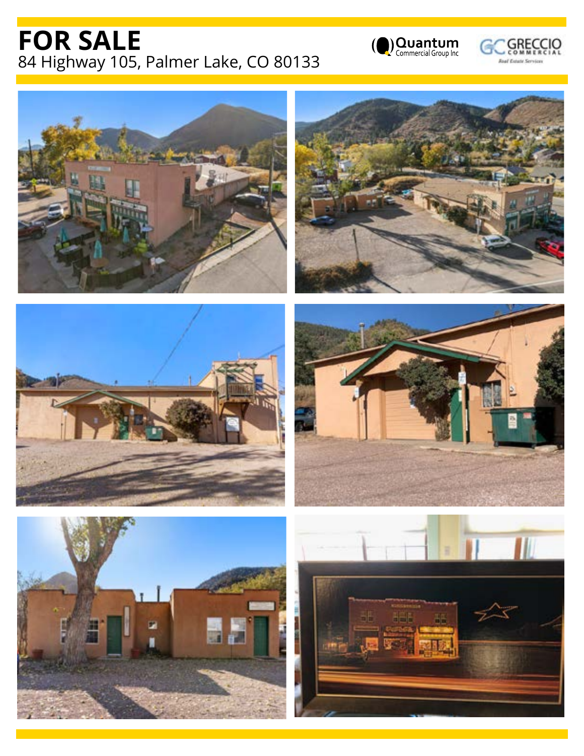## **FOR SALE** 84 Highway 105, Palmer Lake, CO 80133